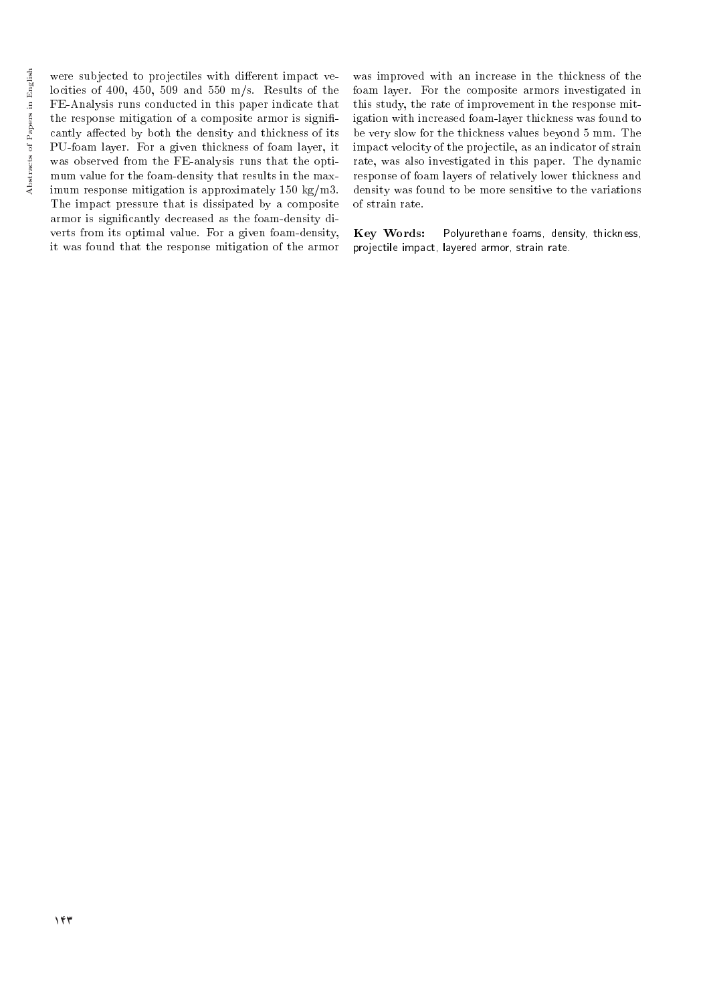were subjected to projectiles with different impact velocities of 400, 450, 509 and 550 m/s. Results of the FE-Analysis runs conducted in this paper indicate that the response mitigation of a composite armor is significantly affected by both the density and thickness of its PU-foam layer. For a given thickness of foam layer, it was observed from the FE-analysis runs that the optimum value for the foam-density that results in the maximum response mitigation is approximately 150 kg/m3. The impact pressure that is dissipated by a composite armor is signicantly decreased as the foam-density diverts from its optimal value. For a given foam-density, it was found that the response mitigation of the armor

was improved with an increase in the thickness of the foam layer. For the composite armors investigated in this study, the rate of improvement in the response mitigation with increased foam-layer thickness was found to be very slow for the thickness values beyond 5 mm. The impact velocity of the projectile, as an indicator of strain rate, was also investigated in this paper. The dynamic response of foam layers of relatively lower thickness and density was found to be more sensitive to the variations of strain rate.

Key Words: Polyurethane foams, density, thickness, projectile impact, layered armor, strain rate.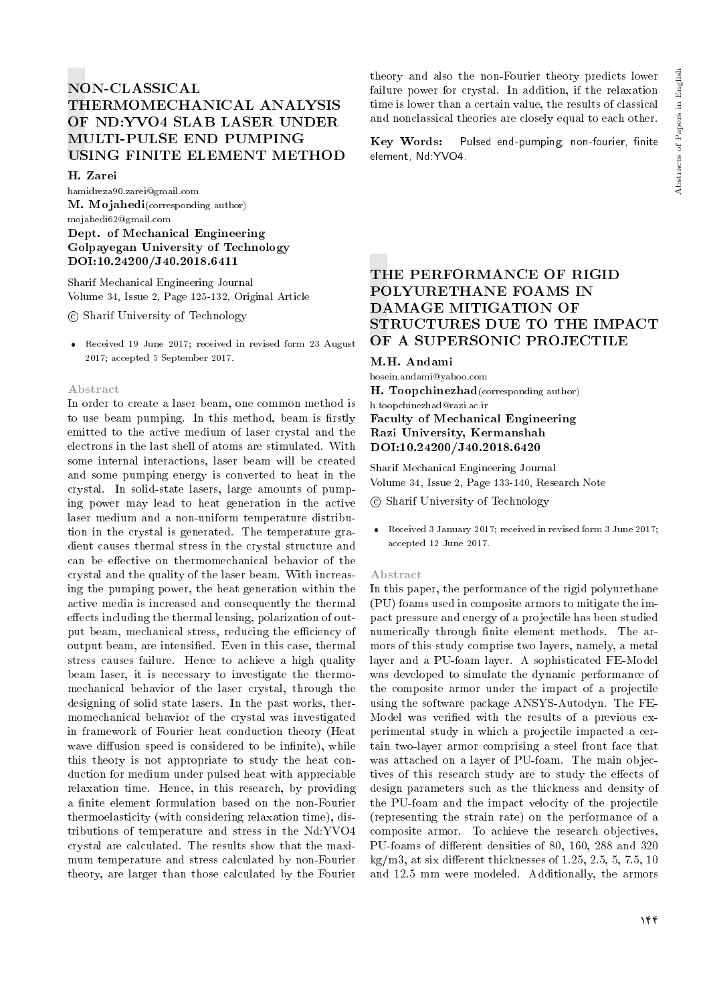# NON-CLASSICAL THERMOMECHANICAL ANALYSIS OF ND:YVO4 SLAB LASER UNDER MULTI-PULSE END PUMPING USING FINITE ELEMENT METHOD

## H. Zarei

hamidreza90.zarei@gmail.com M. Moiahedi(corresponding author) mojahedi62@gmail.com Dept. of Mechanical Engineering Golpayegan University of Technology DOI:10.24200/J40.2018.6411

Sharif Mechanical Engineering Journal Volume 34, Issue 2, Page 125-132, Original Article

c Sharif University of Technology

 Received 19 June 2017; received in revised form 23 August 2017; accepted 5 September 2017.

#### Abstract

In order to create a laser beam, one common method is to use beam pumping. In this method, beam is firstly emitted to the active medium of laser crystal and the electrons in the last shell of atoms are stimulated. With some internal interactions, laser beam will be created and some pumping energy is converted to heat in the crystal. In solid-state lasers, large amounts of pumping power may lead to heat generation in the active laser medium and a non-uniform temperature distribution in the crystal is generated. The temperature gradient causes thermal stress in the crystal structure and can be effective on thermomechanical behavior of the crystal and the quality of the laser beam. With increasing the pumping power, the heat generation within the active media is increased and consequently the thermal effects including the thermal lensing, polarization of output beam, mechanical stress, reducing the efficiency of output beam, are intensied. Even in this case, thermal stress causes failure. Hence to achieve a high quality beam laser, it is necessary to investigate the thermomechanical behavior of the laser crystal, through the designing of solid state lasers. In the past works, thermomechanical behavior of the crystal was investigated in framework of Fourier heat conduction theory (Heat wave diffusion speed is considered to be infinite), while this theory is not appropriate to study the heat conduction for medium under pulsed heat with appreciable relaxation time. Hence, in this research, by providing a finite element formulation based on the non-Fourier thermoelasticity (with considering relaxation time), distributions of temperature and stress in the Nd:YVO4 crystal are calculated. The results show that the maximum temperature and stress calculated by non-Fourier theory, are larger than those calculated by the Fourier

theory and also the non-Fourier theory predicts lower failure power for crystal. In addition, if the relaxation time is lower than a certain value, the results of classical and nonclassical theories are closely equal to each other.

Key Words: Pulsed end-pumping, non-fourier, finite element, Nd:YVO4.

# THE PERFORMANCE OF RIGID POLYURETHANE FOAMS IN DAMAGE MITIGATION OF STRUCTURES DUE TO THE IMPACT OF A SUPERSONIC PROJECTILE

#### M.H. Andami

hosein.andami@yahoo.com

H. Toopchinezhad(corresponding author)

## h.toopchinezhad@razi.ac.ir Faculty of Mechanical Engineering Razi University, Kermanshah DOI:10.24200/J40.2018.6420

Sharif Mechanical Engineering Journal Volume 34, Issue 2, Page 133-140, Research Note

c Sharif University of Technology

 Received 3 January 2017; received in revised form 3 June 2017; accepted 12 June 2017.

#### Abstract

In this paper, the performance of the rigid polyurethane (PU) foams used in composite armors to mitigate the impact pressure and energy of a projectile has been studied numerically through finite element methods. The armors of this study comprise two layers, namely, a metal layer and a PU-foam layer. A sophisticated FE-Model was developed to simulate the dynamic performance of the composite armor under the impact of a projectile using the software package ANSYS-Autodyn. The FE-Model was veried with the results of a previous experimental study in which a projectile impacted a certain two-layer armor comprising a steel front face that was attached on a layer of PU-foam. The main objectives of this research study are to study the effects of design parameters such as the thickness and density of the PU-foam and the impact velocity of the projectile (representing the strain rate) on the performance of a composite armor. To achieve the research objectives, PU-foams of different densities of 80, 160, 288 and 320  $kg/m3$ , at six different thicknesses of 1.25, 2.5, 5, 7.5, 10 and 12.5 mm were modeled. Additionally, the armors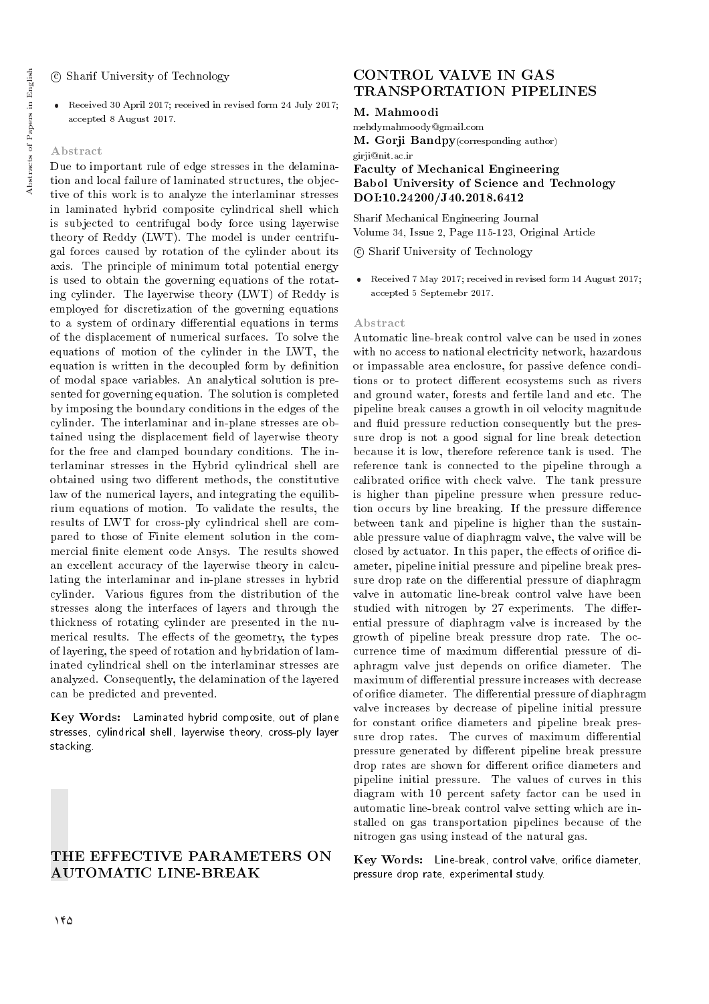## c Sharif University of Technology

 Received 30 April 2017; received in revised form 24 July 2017; accepted 8 August 2017.

#### Abstract

Due to important rule of edge stresses in the delamination and local failure of laminated structures, the objective of this work is to analyze the interlaminar stresses in laminated hybrid composite cylindrical shell which is subjected to centrifugal body force using layerwise theory of Reddy (LWT). The model is under centrifugal forces caused by rotation of the cylinder about its axis. The principle of minimum total potential energy is used to obtain the governing equations of the rotating cylinder. The layerwise theory (LWT) of Reddy is employed for discretization of the governing equations to a system of ordinary differential equations in terms of the displacement of numerical surfaces. To solve the equations of motion of the cylinder in the LWT, the equation is written in the decoupled form by definition of modal space variables. An analytical solution is presented for governing equation. The solution is completed by imposing the boundary conditions in the edges of the cylinder. The interlaminar and in-plane stresses are obtained using the displacement field of layerwise theory for the free and clamped boundary conditions. The interlaminar stresses in the Hybrid cylindrical shell are obtained using two different methods, the constitutive law of the numerical layers, and integrating the equilibrium equations of motion. To validate the results, the results of LWT for cross-ply cylindrical shell are compared to those of Finite element solution in the commercial finite element code Ansys. The results showed an excellent accuracy of the layerwise theory in calculating the interlaminar and in-plane stresses in hybrid cylinder. Various figures from the distribution of the stresses along the interfaces of layers and through the thickness of rotating cylinder are presented in the numerical results. The effects of the geometry, the types of layering, the speed of rotation and hybridation of laminated cylindrical shell on the interlaminar stresses are analyzed. Consequently, the delamination of the layered can be predicted and prevented.

Key Words: Laminated hybrid composite, out of plane stresses, cylindrical shell, layerwise theory, cross-ply layer stacking.

## THE EFFECTIVE PARAMETERS ON AUTOMATIC LINE-BREAK

## CONTROL VALVE IN GAS TRANSPORTATION PIPELINES

#### M. Mahmoodi

mehdymahmoody@gmail.com

M. Gorji Bandpy(corresponding author) girji@nit.ac.ir

## Faculty of Mechanical Engineering Babol University of Science and Technology DOI:10.24200/J40.2018.6412

Sharif Mechanical Engineering Journal Volume 34, Issue 2, Page 115-123, Original Article

c Sharif University of Technology

 Received 7 May 2017; received in revised form 14 August 2017; accepted 5 Septemebr 2017.

#### Abstract

Automatic line-break control valve can be used in zones with no access to national electricity network, hazardous or impassable area enclosure, for passive defence conditions or to protect different ecosystems such as rivers and ground water, forests and fertile land and etc. The pipeline break causes a growth in oil velocity magnitude and fluid pressure reduction consequently but the pressure drop is not a good signal for line break detection because it is low, therefore reference tank is used. The reference tank is connected to the pipeline through a calibrated orifice with check valve. The tank pressure is higher than pipeline pressure when pressure reduction occurs by line breaking. If the pressure difference between tank and pipeline is higher than the sustainable pressure value of diaphragm valve, the valve will be closed by actuator. In this paper, the effects of orifice diameter, pipeline initial pressure and pipeline break pressure drop rate on the differential pressure of diaphragm valve in automatic line-break control valve have been studied with nitrogen by 27 experiments. The differential pressure of diaphragm valve is increased by the growth of pipeline break pressure drop rate. The occurrence time of maximum differential pressure of diaphragm valve just depends on orifice diameter. The maximum of differential pressure increases with decrease of orifice diameter. The differential pressure of diaphragm valve increases by decrease of pipeline initial pressure for constant orifice diameters and pipeline break pressure drop rates. The curves of maximum differential pressure generated by different pipeline break pressure drop rates are shown for different orifice diameters and pipeline initial pressure. The values of curves in this diagram with 10 percent safety factor can be used in automatic line-break control valve setting which are installed on gas transportation pipelines because of the nitrogen gas using instead of the natural gas.

Key Words: Line-break, control valve, orifice diameter, pressure drop rate, experimental study.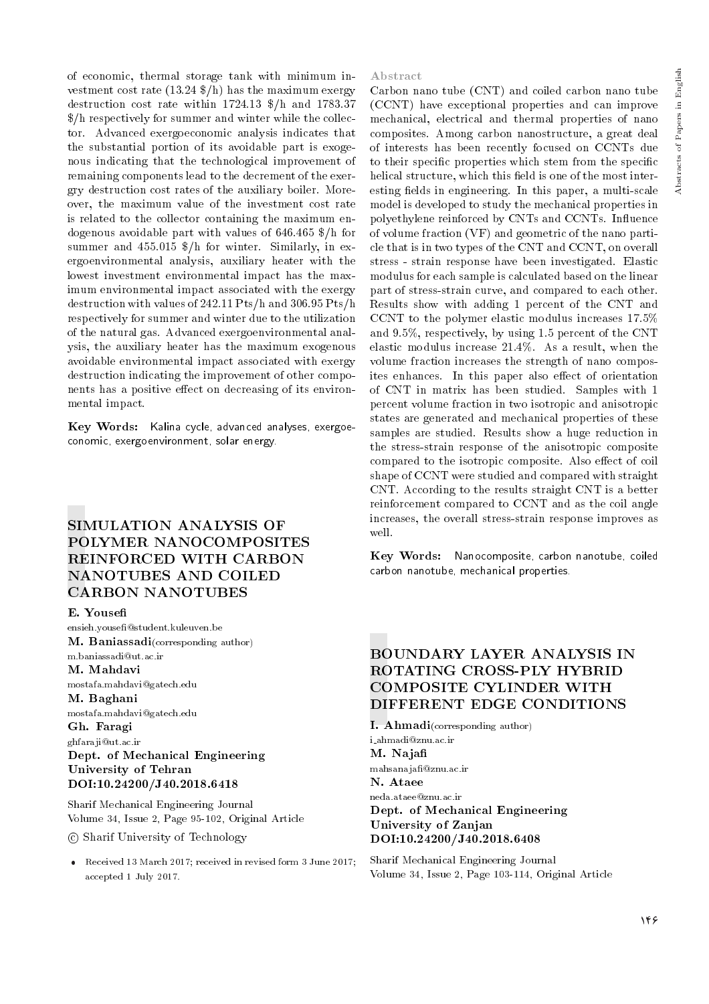of economic, thermal storage tank with minimum investment cost rate (13.24 \$/h) has the maximum exergy destruction cost rate within 1724.13 \$/h and 1783.37 \$/h respectively for summer and winter while the collector. Advanced exergoeconomic analysis indicates that the substantial portion of its avoidable part is exogenous indicating that the technological improvement of remaining components lead to the decrement of the exergry destruction cost rates of the auxiliary boiler. Moreover, the maximum value of the investment cost rate is related to the collector containing the maximum endogenous avoidable part with values of 646.465 \$/h for summer and  $455.015$  \$/h for winter. Similarly, in exergoenvironmental analysis, auxiliary heater with the lowest investment environmental impact has the maximum environmental impact associated with the exergy destruction with values of 242.11 Pts/h and 306.95 Pts/h respectively for summer and winter due to the utilization of the natural gas. Advanced exergoenvironmental analysis, the auxiliary heater has the maximum exogenous avoidable environmental impact associated with exergy destruction indicating the improvement of other components has a positive effect on decreasing of its environmental impact.

Key Words: Kalina cycle, advanced analyses, exergoeconomic, exergoenvironment, solar energy.

# SIMULATION ANALYSIS OF POLYMER NANOCOMPOSITES REINFORCED WITH CARBON NANOTUBES AND COILED CARBON NANOTUBES

#### E. Youse

ensieh.youse@student.kuleuven.be M. Baniassadi(corresponding author) m.baniassadi@ut.ac.ir M. Mahdavi mostafa.mahdavi@gatech.edu

## M. Baghani

mostafa.mahdavi@gatech.edu Gh. Faragi ghfaraji@ut.ac.ir Dept. of Mechanical Engineering University of Tehran DOI:10.24200/J40.2018.6418

Sharif Mechanical Engineering Journal Volume 34, Issue 2, Page 95-102, Original Article

c Sharif University of Technology

 Received 13 March 2017; received in revised form 3 June 2017; accepted 1 July 2017.

#### Abstract

Carbon nano tube (CNT) and coiled carbon nano tube (CCNT) have exceptional properties and can improve mechanical, electrical and thermal properties of nano composites. Among carbon nanostructure, a great deal of interests has been recently focused on CCNTs due to their specific properties which stem from the specific helical structure, which this field is one of the most interesting fields in engineering. In this paper, a multi-scale model is developed to study the mechanical properties in polyethylene reinforced by CNTs and CCNTs. Influence of volume fraction (VF) and geometric of the nano particle that is in two types of the CNT and CCNT, on overall stress - strain response have been investigated. Elastic modulus for each sample is calculated based on the linear part of stress-strain curve, and compared to each other. Results show with adding 1 percent of the CNT and CCNT to the polymer elastic modulus increases 17.5% and 9.5%, respectively, by using 1.5 percent of the CNT elastic modulus increase 21.4%. As a result, when the volume fraction increases the strength of nano composites enhances. In this paper also effect of orientation of CNT in matrix has been studied. Samples with 1 percent volume fraction in two isotropic and anisotropic states are generated and mechanical properties of these samples are studied. Results show a huge reduction in the stress-strain response of the anisotropic composite compared to the isotropic composite. Also effect of coil shape of CCNT were studied and compared with straight CNT. According to the results straight CNT is a better reinforcement compared to CCNT and as the coil angle increases, the overall stress-strain response improves as well.

Key Words: Nanocomposite, carbon nanotube, coiled carbon nanotube, mechanical properties.

## BOUNDARY LAYER ANALYSIS IN ROTATING CROSS-PLY HYBRID COMPOSITE CYLINDER WITH DIFFERENT EDGE CONDITIONS

I. Ahmadi(corresponding author) i ahmadi@znu.ac.ir M. Najafi mahsanaja@znu.ac.ir N. Ataee neda.ataee@znu.ac.ir

## Dept. of Mechanical Engineering University of Zanjan DOI:10.24200/J40.2018.6408

Sharif Mechanical Engineering Journal Volume 34, Issue 2, Page 103-114, Original Article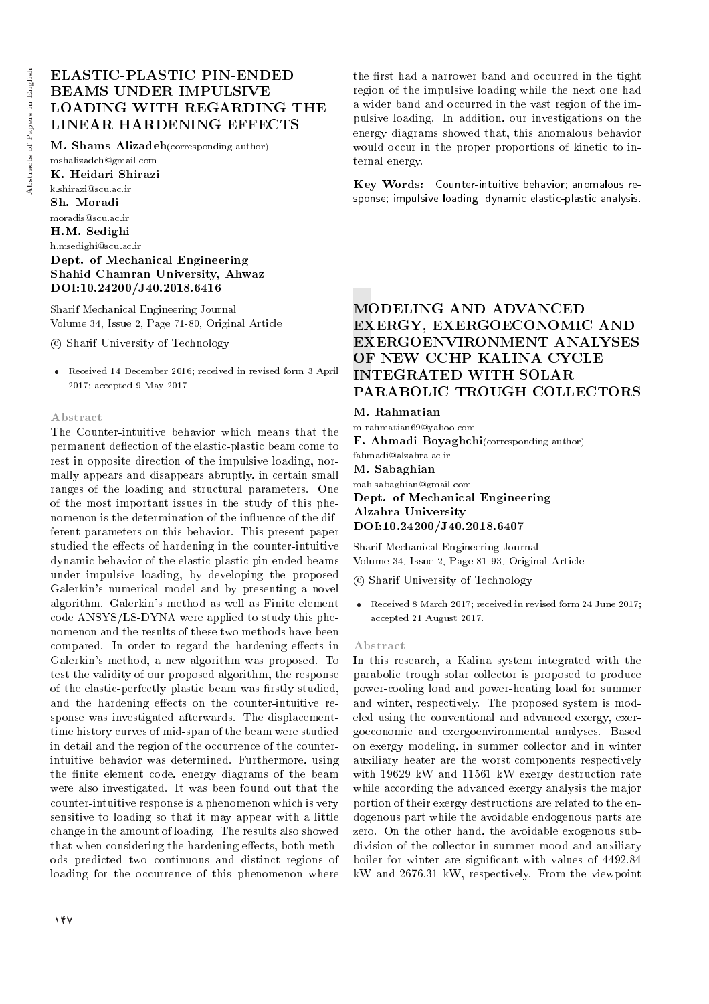# ELASTIC-PLASTIC PIN-ENDED BEAMS UNDER IMPULSIVE LOADING WITH REGARDING THE LINEAR HARDENING EFFECTS

M. Shams Alizadeh(corresponding author)

mshalizadeh@gmail.com K. Heidari Shirazi

k.shirazi@scu.ac.ir Sh. Moradi moradis@scu.ac.ir

H.M. Sedighi h.msedighi@scu.ac.ir

## Dept. of Mechanical Engineering Shahid Chamran University, Ahwaz DOI:10.24200/J40.2018.6416

Sharif Mechanical Engineering Journal Volume 34, Issue 2, Page 71-80, Original Article

c Sharif University of Technology

 Received 14 December 2016; received in revised form 3 April 2017; accepted 9 May 2017.

## Abstract

The Counter-intuitive behavior which means that the permanent deflection of the elastic-plastic beam come to rest in opposite direction of the impulsive loading, normally appears and disappears abruptly, in certain small ranges of the loading and structural parameters. One of the most important issues in the study of this phenomenon is the determination of the influence of the different parameters on this behavior. This present paper studied the effects of hardening in the counter-intuitive dynamic behavior of the elastic-plastic pin-ended beams under impulsive loading, by developing the proposed Galerkin's numerical model and by presenting a novel algorithm. Galerkin's method as well as Finite element code ANSYS/LS-DYNA were applied to study this phenomenon and the results of these two methods have been compared. In order to regard the hardening effects in Galerkin's method, a new algorithm was proposed. To test the validity of our proposed algorithm, the response of the elastic-perfectly plastic beam was firstly studied, and the hardening effects on the counter-intuitive response was investigated afterwards. The displacementtime history curves of mid-span of the beam were studied in detail and the region of the occurrence of the counterintuitive behavior was determined. Furthermore, using the finite element code, energy diagrams of the beam were also investigated. It was been found out that the counter-intuitive response is a phenomenon which is very sensitive to loading so that it may appear with a little change in the amount of loading. The results also showed that when considering the hardening effects, both methods predicted two continuous and distinct regions of loading for the occurrence of this phenomenon where

Key Words: Counter-intuitive behavior; anomalous response; impulsive loading; dynamic elastic-plastic analysis.

# MODELING AND ADVANCED EXERGY, EXERGOECONOMIC AND EXERGOENVIRONMENT ANALYSES OF NEW CCHP KALINA CYCLE INTEGRATED WITH SOLAR PARABOLIC TROUGH COLLECTORS

M. Rahmatian m rahmatian69@yahoo.com F. Ahmadi Boyaghchi(corresponding author) fahmadi@alzahra.ac.ir M. Sabaghian mah.sabaghian@gmail.com Dept. of Mechanical Engineering

Alzahra University DOI:10.24200/J40.2018.6407

Sharif Mechanical Engineering Journal Volume 34, Issue 2, Page 81-93, Original Article

c Sharif University of Technology

 Received 8 March 2017; received in revised form 24 June 2017; accepted 21 August 2017.

#### Abstract

In this research, a Kalina system integrated with the parabolic trough solar collector is proposed to produce power-cooling load and power-heating load for summer and winter, respectively. The proposed system is modeled using the conventional and advanced exergy, exergoeconomic and exergoenvironmental analyses. Based on exergy modeling, in summer collector and in winter auxiliary heater are the worst components respectively with 19629 kW and 11561 kW exergy destruction rate while according the advanced exergy analysis the major portion of their exergy destructions are related to the endogenous part while the avoidable endogenous parts are zero. On the other hand, the avoidable exogenous subdivision of the collector in summer mood and auxiliary boiler for winter are signicant with values of 4492.84 kW and 2676.31 kW, respectively. From the viewpoint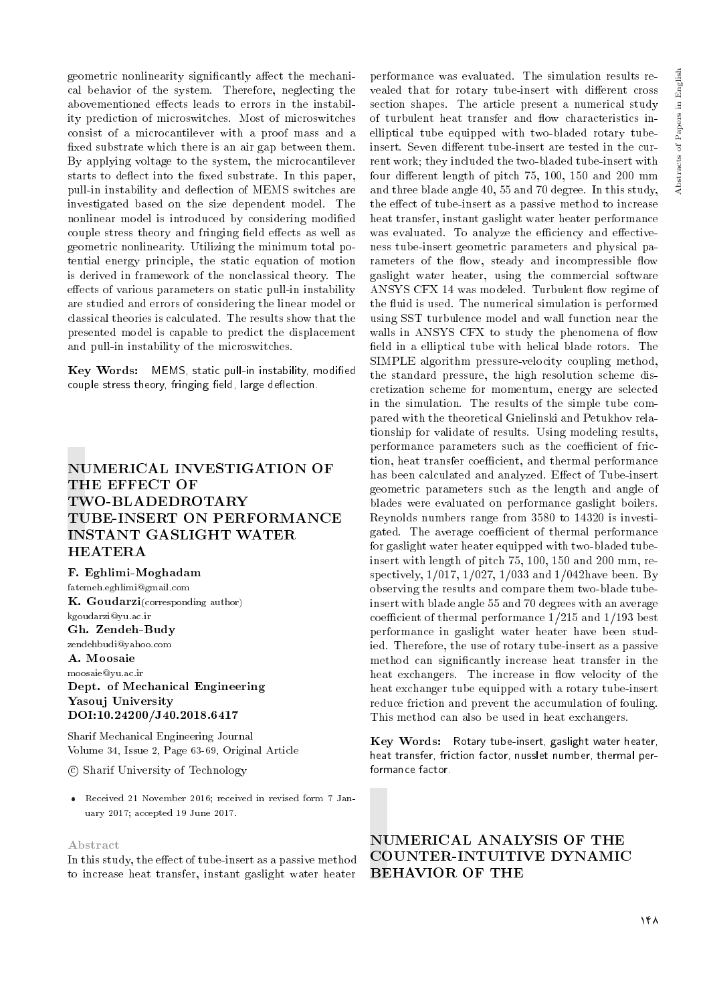geometric nonlinearity significantly affect the mechanical behavior of the system. Therefore, neglecting the abovementioned effects leads to errors in the instability prediction of microswitches. Most of microswitches consist of a microcantilever with a proof mass and a fixed substrate which there is an air gap between them. By applying voltage to the system, the microcantilever starts to deflect into the fixed substrate. In this paper, pull-in instability and de
ection of MEMS switches are investigated based on the size dependent model. The nonlinear model is introduced by considering modied couple stress theory and fringing field effects as well as geometric nonlinearity. Utilizing the minimum total potential energy principle, the static equation of motion is derived in framework of the nonclassical theory. The effects of various parameters on static pull-in instability are studied and errors of considering the linear model or classical theories is calculated. The results show that the presented model is capable to predict the displacement and pull-in instability of the microswitches.

Key Words: MEMS, static pull-in instability, modified couple stress theory, fringing field, large deflection.

# NUMERICAL INVESTIGATION OF THE EFFECT OF TWO-BLADEDROTARY TUBE-INSERT ON PERFORMANCE INSTANT GASLIGHT WATER HEATERA

F. Eghlimi-Moghadam fatemeh.eghlimi@gmail.com K. Goudarzi(corresponding author) kgoudarzi@yu.ac.ir Gh. Zendeh-Budy zendehbudi@yahoo.com A. Moosaie moosaie@yu.ac.ir Dept. of Mechanical Engineering Yasouj University DOI:10.24200/J40.2018.6417

Sharif Mechanical Engineering Journal Volume 34, Issue 2, Page 63-69, Original Article

c Sharif University of Technology

 Received 21 November 2016; received in revised form 7 January 2017; accepted 19 June 2017.

#### Abstract

In this study, the effect of tube-insert as a passive method to increase heat transfer, instant gaslight water heater

performance was evaluated. The simulation results revealed that for rotary tube-insert with different cross section shapes. The article present a numerical study of turbulent heat transfer and flow characteristics inelliptical tube equipped with two-bladed rotary tubeinsert. Seven different tube-insert are tested in the current work; they included the two-bladed tube-insert with four different length of pitch  $75, 100, 150$  and  $200$  mm and three blade angle 40, 55 and 70 degree. In this study, the effect of tube-insert as a passive method to increase heat transfer, instant gaslight water heater performance was evaluated. To analyze the efficiency and effectiveness tube-insert geometric parameters and physical parameters of the flow, steady and incompressible flow gaslight water heater, using the commercial software ANSYS CFX 14 was modeled. Turbulent flow regime of the fluid is used. The numerical simulation is performed using SST turbulence model and wall function near the walls in ANSYS CFX to study the phenomena of flow field in a elliptical tube with helical blade rotors. The SIMPLE algorithm pressure-velocity coupling method, the standard pressure, the high resolution scheme discretization scheme for momentum, energy are selected in the simulation. The results of the simple tube compared with the theoretical Gnielinski and Petukhov relationship for validate of results. Using modeling results, performance parameters such as the coefficient of friction, heat transfer coefficient, and thermal performance has been calculated and analyzed. Effect of Tube-insert geometric parameters such as the length and angle of blades were evaluated on performance gaslight boilers. Reynolds numbers range from 3580 to 14320 is investigated. The average coefficient of thermal performance for gaslight water heater equipped with two-bladed tubeinsert with length of pitch 75, 100, 150 and 200 mm, respectively, 1/017, 1/027, 1/033 and 1/042have been. By observing the results and compare them two-blade tubeinsert with blade angle 55 and 70 degrees with an average coefficient of thermal performance  $1/215$  and  $1/193$  best performance in gaslight water heater have been studied. Therefore, the use of rotary tube-insert as a passive method can signicantly increase heat transfer in the heat exchangers. The increase in flow velocity of the heat exchanger tube equipped with a rotary tube-insert reduce friction and prevent the accumulation of fouling. This method can also be used in heat exchangers.

Key Words: Rotary tube-insert, gaslight water heater, heat transfer, friction factor, nusslet number, thermal performance factor.

## NUMERICAL ANALYSIS OF THE COUNTER-INTUITIVE DYNAMIC BEHAVIOR OF THE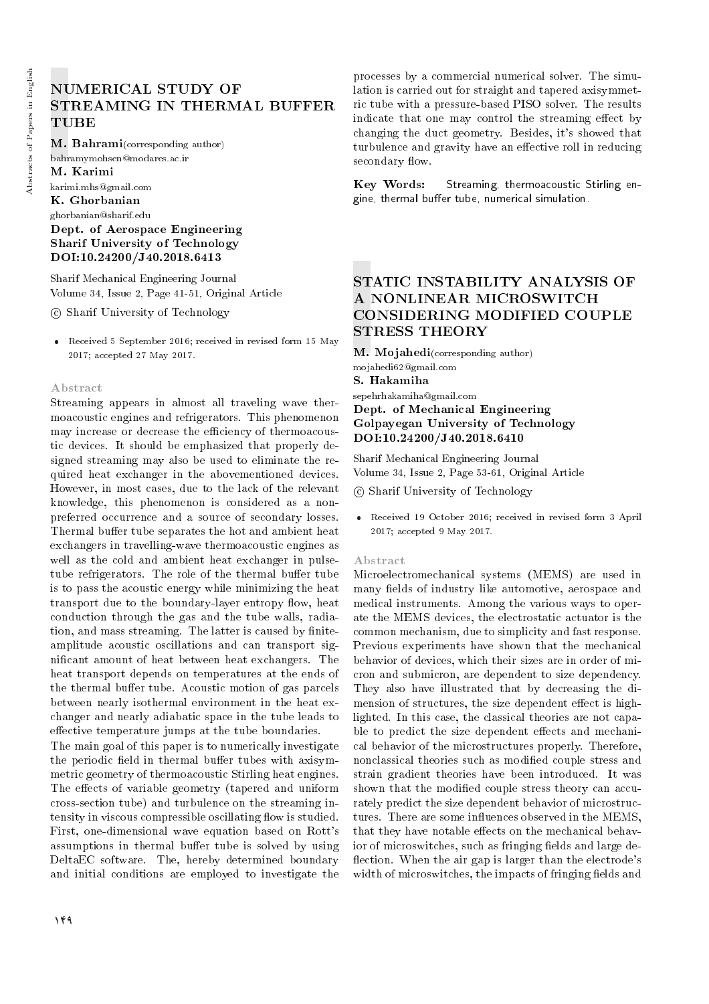# NUMERICAL STUDY OF STREAMING IN THERMAL BUFFER TUBE

M. Bahrami(corresponding author) bahramymohsen@modares.ac.ir M. Karimi

karimi.mhs@gmail.com K. Ghorbanian ghorbanian@sharif.edu Dept. of Aerospace Engineering

## Sharif University of Technology DOI:10.24200/J40.2018.6413

Sharif Mechanical Engineering Journal Volume 34, Issue 2, Page 41-51, Original Article

#### c Sharif University of Technology

 Received 5 September 2016; received in revised form 15 May 2017; accepted 27 May 2017.

#### Abstract

Streaming appears in almost all traveling wave thermoacoustic engines and refrigerators. This phenomenon may increase or decrease the efficiency of thermoacoustic devices. It should be emphasized that properly designed streaming may also be used to eliminate the required heat exchanger in the abovementioned devices. However, in most cases, due to the lack of the relevant knowledge, this phenomenon is considered as a nonpreferred occurrence and a source of secondary losses. Thermal buffer tube separates the hot and ambient heat exchangers in travelling-wave thermoacoustic engines as well as the cold and ambient heat exchanger in pulsetube refrigerators. The role of the thermal buffer tube is to pass the acoustic energy while minimizing the heat transport due to the boundary-layer entropy flow, heat conduction through the gas and the tube walls, radiation, and mass streaming. The latter is caused by finiteamplitude acoustic oscillations and can transport signicant amount of heat between heat exchangers. The heat transport depends on temperatures at the ends of the thermal buffer tube. Acoustic motion of gas parcels between nearly isothermal environment in the heat exchanger and nearly adiabatic space in the tube leads to effective temperature jumps at the tube boundaries.

The main goal of this paper is to numerically investigate the periodic field in thermal buffer tubes with axisymmetric geometry of thermoacoustic Stirling heat engines. The effects of variable geometry (tapered and uniform cross-section tube) and turbulence on the streaming intensity in viscous compressible oscillating flow is studied. First, one-dimensional wave equation based on Rott's assumptions in thermal buffer tube is solved by using DeltaEC software. The, hereby determined boundary and initial conditions are employed to investigate the

processes by a commercial numerical solver. The simulation is carried out for straight and tapered axisymmetric tube with a pressure-based PISO solver. The results indicate that one may control the streaming effect by changing the duct geometry. Besides, it's showed that turbulence and gravity have an effective roll in reducing secondary flow.

Key Words: Streaming, thermoacoustic Stirling engine, thermal buffer tube, numerical simulation.

# STATIC INSTABILITY ANALYSIS OF A NONLINEAR MICROSWITCH CONSIDERING MODIFIED COUPLE STRESS THEORY

M. Mojahedi(corresponding author) mojahedi62@gmail.com

S. Hakamiha

#### sepehrhakamiha@gmail.com Dept. of Mechanical Engineering Golpayegan University of Technology DOI:10.24200/J40.2018.6410

Sharif Mechanical Engineering Journal Volume 34, Issue 2, Page 53-61, Original Article

c Sharif University of Technology

 Received 19 October 2016; received in revised form 3 April 2017; accepted 9 May 2017.

#### Abstract

Microelectromechanical systems (MEMS) are used in many fields of industry like automotive, aerospace and medical instruments. Among the various ways to operate the MEMS devices, the electrostatic actuator is the common mechanism, due to simplicity and fast response. Previous experiments have shown that the mechanical behavior of devices, which their sizes are in order of micron and submicron, are dependent to size dependency. They also have illustrated that by decreasing the dimension of structures, the size dependent effect is highlighted. In this case, the classical theories are not capable to predict the size dependent effects and mechanical behavior of the microstructures properly. Therefore, nonclassical theories such as modied couple stress and strain gradient theories have been introduced. It was shown that the modied couple stress theory can accurately predict the size dependent behavior of microstructures. There are some influences observed in the MEMS, that they have notable effects on the mechanical behavior of microswitches, such as fringing fields and large deflection. When the air gap is larger than the electrode's width of microswitches, the impacts of fringing fields and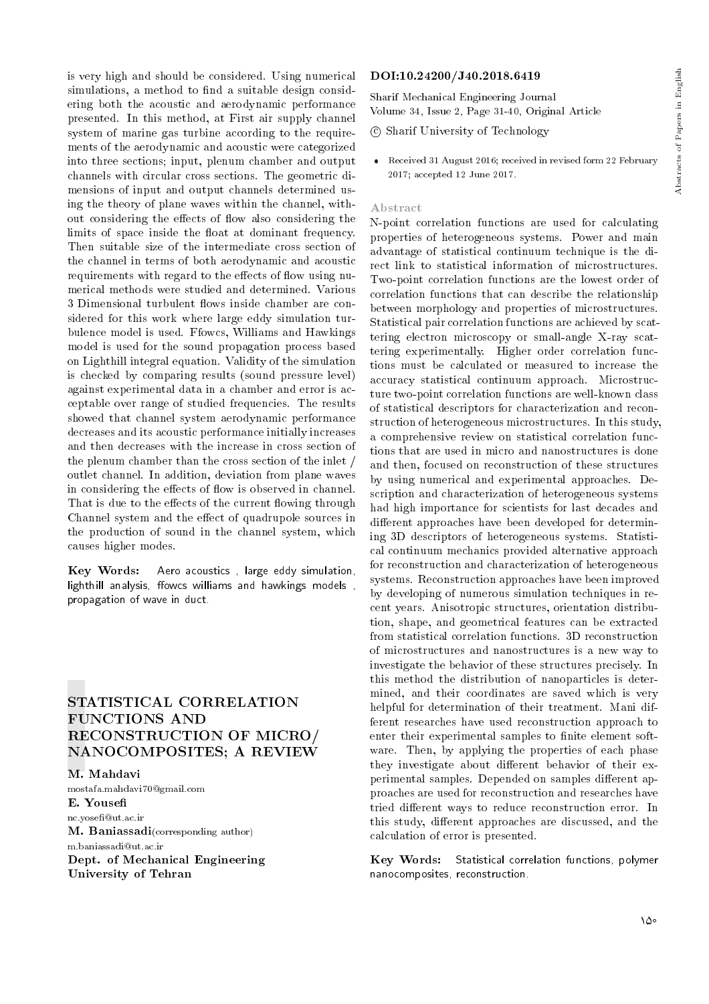is very high and should be considered. Using numerical simulations, a method to find a suitable design considering both the acoustic and aerodynamic performance presented. In this method, at First air supply channel system of marine gas turbine according to the requirements of the aerodynamic and acoustic were categorized into three sections; input, plenum chamber and output channels with circular cross sections. The geometric dimensions of input and output channels determined using the theory of plane waves within the channel, without considering the effects of flow also considering the limits of space inside the float at dominant frequency. Then suitable size of the intermediate cross section of the channel in terms of both aerodynamic and acoustic requirements with regard to the effects of flow using numerical methods were studied and determined. Various 3 Dimensional turbulent flows inside chamber are considered for this work where large eddy simulation turbulence model is used. Ffowcs, Williams and Hawkings model is used for the sound propagation process based on Lighthill integral equation. Validity of the simulation is checked by comparing results (sound pressure level) against experimental data in a chamber and error is acceptable over range of studied frequencies. The results showed that channel system aerodynamic performance decreases and its acoustic performance initially increases and then decreases with the increase in cross section of the plenum chamber than the cross section of the inlet / outlet channel. In addition, deviation from plane waves in considering the effects of flow is observed in channel. That is due to the effects of the current flowing through Channel system and the effect of quadrupole sources in the production of sound in the channel system, which causes higher modes.

Key Words: Aero acoustics , large eddy simulation, lighthill analysis, ffowcs williams and hawkings models, propagation of wave in duct.

# STATISTICAL CORRELATION FUNCTIONS AND RECONSTRUCTION OF MICRO/ NANOCOMPOSITES; A REVIEW

## M. Mahdavi

mostafa.mahdavi70@gmail.com

# E. Youse

nc.yose@ut.ac.ir M. Baniassadi(corresponding author) m.baniassadi@ut.ac.ir Dept. of Mechanical Engineering University of Tehran

#### DOI:10.24200/J40.2018.6419

Sharif Mechanical Engineering Journal Volume 34, Issue 2, Page 31-40, Original Article

#### c Sharif University of Technology

 Received 31 August 2016; received in revised form 22 February 2017; accepted 12 June 2017.

#### Abstract

N-point correlation functions are used for calculating properties of heterogeneous systems. Power and main advantage of statistical continuum technique is the direct link to statistical information of microstructures. Two-point correlation functions are the lowest order of correlation functions that can describe the relationship between morphology and properties of microstructures. Statistical pair correlation functions are achieved by scattering electron microscopy or small-angle X-ray scattering experimentally. Higher order correlation functions must be calculated or measured to increase the accuracy statistical continuum approach. Microstructure two-point correlation functions are well-known class of statistical descriptors for characterization and reconstruction of heterogeneous microstructures. In this study, a comprehensive review on statistical correlation functions that are used in micro and nanostructures is done and then, focused on reconstruction of these structures by using numerical and experimental approaches. Description and characterization of heterogeneous systems had high importance for scientists for last decades and different approaches have been developed for determining 3D descriptors of heterogeneous systems. Statistical continuum mechanics provided alternative approach for reconstruction and characterization of heterogeneous systems. Reconstruction approaches have been improved by developing of numerous simulation techniques in recent years. Anisotropic structures, orientation distribution, shape, and geometrical features can be extracted from statistical correlation functions. 3D reconstruction of microstructures and nanostructures is a new way to investigate the behavior of these structures precisely. In this method the distribution of nanoparticles is determined, and their coordinates are saved which is very helpful for determination of their treatment. Mani different researches have used reconstruction approach to enter their experimental samples to finite element software. Then, by applying the properties of each phase they investigate about different behavior of their experimental samples. Depended on samples different approaches are used for reconstruction and researches have tried different ways to reduce reconstruction error. In this study, different approaches are discussed, and the calculation of error is presented.

Key Words: Statistical correlation functions, polymer nanocomposites, reconstruction.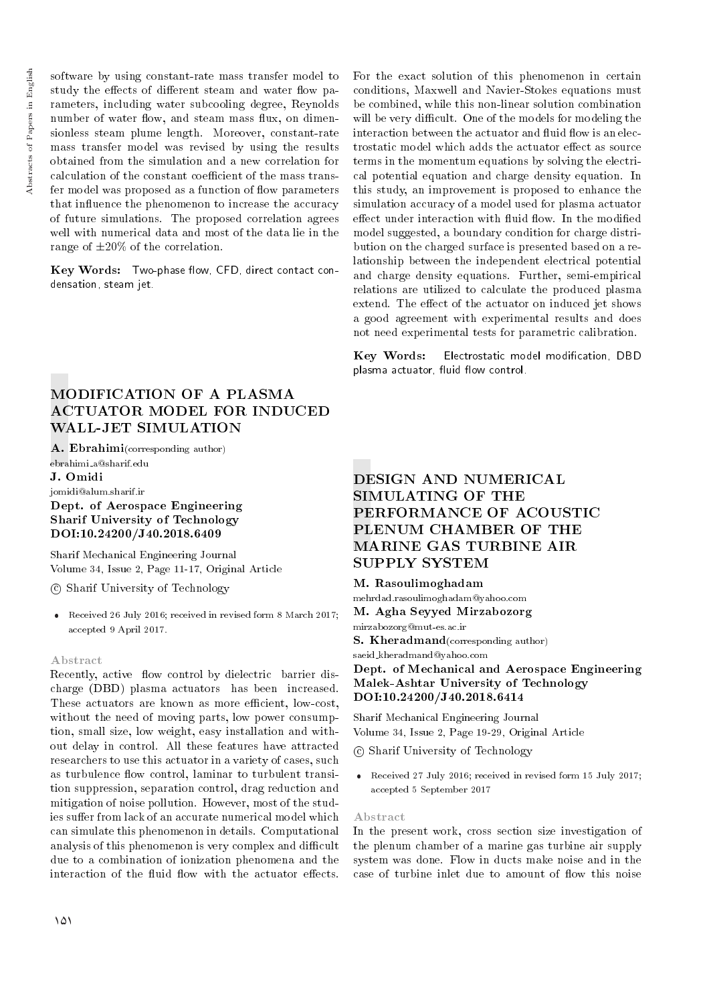software by using constant-rate mass transfer model to study the effects of different steam and water flow parameters, including water subcooling degree, Reynolds number of water flow, and steam mass flux, on dimensionless steam plume length. Moreover, constant-rate mass transfer model was revised by using the results obtained from the simulation and a new correlation for calculation of the constant coefficient of the mass transfer model was proposed as a function of flow parameters that influence the phenomenon to increase the accuracy of future simulations. The proposed correlation agrees well with numerical data and most of the data lie in the range of  $\pm 20\%$  of the correlation.

Key Words: Two-phase flow, CFD, direct contact condensation, steam jet.

# MODIFICATION OF A PLASMA ACTUATOR MODEL FOR INDUCED WALL-JET SIMULATION

A. Ebrahimi(corresponding author) ebrahimi a@sharif.edu J. Omidi jomidi@alum.sharif.ir Dept. of Aerospace Engineering

Sharif University of Technology DOI:10.24200/J40.2018.6409

Sharif Mechanical Engineering Journal Volume 34, Issue 2, Page 11-17, Original Article

c Sharif University of Technology

 Received 26 July 2016; received in revised form 8 March 2017; accepted 9 April 2017.

#### Abstract

Recently, active flow control by dielectric barrier discharge (DBD) plasma actuators has been increased. These actuators are known as more efficient, low-cost, without the need of moving parts, low power consumption, small size, low weight, easy installation and without delay in control. All these features have attracted researchers to use this actuator in a variety of cases, such as turbulence flow control, laminar to turbulent transition suppression, separation control, drag reduction and mitigation of noise pollution. However, most of the studies suffer from lack of an accurate numerical model which can simulate this phenomenon in details. Computational analysis of this phenomenon is very complex and difficult due to a combination of ionization phenomena and the interaction of the fluid flow with the actuator effects.

For the exact solution of this phenomenon in certain conditions, Maxwell and Navier-Stokes equations must be combined, while this non-linear solution combination will be very difficult. One of the models for modeling the interaction between the actuator and fluid flow is an electrostatic model which adds the actuator effect as source terms in the momentum equations by solving the electrical potential equation and charge density equation. In this study, an improvement is proposed to enhance the simulation accuracy of a model used for plasma actuator effect under interaction with fluid flow. In the modified model suggested, a boundary condition for charge distribution on the charged surface is presented based on a relationship between the independent electrical potential and charge density equations. Further, semi-empirical relations are utilized to calculate the produced plasma extend. The effect of the actuator on induced jet shows a good agreement with experimental results and does not need experimental tests for parametric calibration.

Key Words: Electrostatic model modication, DBD plasma actuator, fluid flow control.

## DESIGN AND NUMERICAL SIMULATING OF THE PERFORMANCE OF ACOUSTIC PLENUM CHAMBER OF THE MARINE GAS TURBINE AIR SUPPLY SYSTEM

## M. Rasoulimoghadam

mehrdad.rasoulimoghadam@yahoo.com M. Agha Seyyed Mirzabozorg

mirzabozorg@mut-es.ac.ir

S. Kheradmand(corresponding author)

saeid kheradmand@yahoo.com

## Dept. of Mechanical and Aerospace Engineering Malek-Ashtar University of Technology DOI:10.24200/J40.2018.6414

Sharif Mechanical Engineering Journal Volume 34, Issue 2, Page 19-29, Original Article

c Sharif University of Technology

 Received 27 July 2016; received in revised form 15 July 2017; accepted 5 September 2017

#### Abstract

In the present work, cross section size investigation of the plenum chamber of a marine gas turbine air supply system was done. Flow in ducts make noise and in the case of turbine inlet due to amount of flow this noise